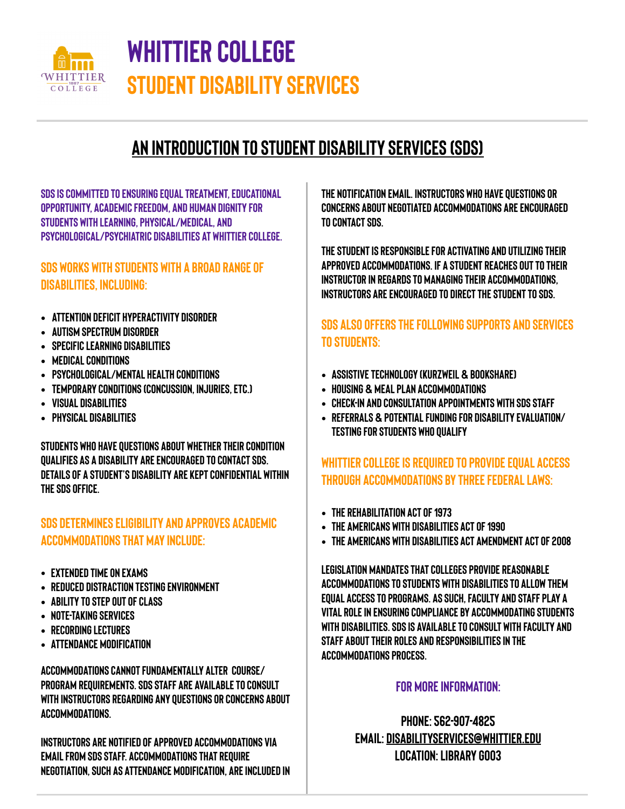

# **Whittier college Student disability services**

## **An introduction to student disability services (SDS)**

**SDs is committed to ensuring equal treatment, educational opportunity, academic freedom, and human dignity for students with learning, physical/medical, and psychological/psychiatric disabilities at Whittier College.** 

#### **SDS works with students with a broad range of disabilities, including:**

- **• Attention deficit hyperactivity disorder**
- **• AUTISM SPECTRUM DISORDER**
- **• Specific LEARNING DISABILITIES**
- **• MEDICAL CONDITIONS**
- **• PSYCHOLOGICAL/MENTAL HEAlth conditions**
- **• Temporary conditions (concussion, injuries, etc.)**
- **• Visual disabilities**
- **• Physical disabilities**

**Students who have questions about whether their condition qualifies as a disability are encouraged to contact sds. Details of a student's disability are kept confidential within the sds office.** 

#### **Sds determines eligibility and approves academic accommodations that may include:**

- **• Extended time on exams**
- **• Reduced distraction testing environment**
- **• ABILITY TO STEP OUT OF CLASS**
- **• Note-taking services**
- **• RECORDING LECTURES**
- **• Attendance modification**

**ACCOMMODATIONS CANNOT FUNDAMENTALLY ALTER COURSE/ PROGRAM REQUIREMENTS. SDS STAFF ARE AVAILABLE TO CONSULT WITH INSTRUCTORS REGARDING ANY QUESTIONS OR CONCERNS ABOUT ACCOMMODATIONS.** 

**INSTRUCTORS ARE NOTIFIED OF APPROVED ACCOMMODATIONS VIA EMAIL FROM SDS STAFF. ACCOMMODATIONS THAT REQUIRE NEGOTIATION, SUCH AS ATTENDANCE MODIFICATION, ARE INCLUDED IN**  **THE NOTIFICATION EMAIL. INSTRUCTORS WHO HAVE QUESTIONS or concerns ABOUT NEGOTIATED ACCOMMODATIONS ARE ENCOURAGED TO CONTACT sds.** 

**The student is responsible for activating and utilizing their approved accommodations. If a student reaches out to their instructor in regards to managing their accommodations, instructors are encouraged to direct the student to sds.** 

#### **Sds also offers the following supports and services to students:**

- **• Assistive technology (Kurzweil & bookshare)**
- **• Housing & meal plan accommodations**
- **• Check-in and consultation appointments with sds staff**
- **• Referrals & potential funding for disability evaluation/ testing for students who qualify**

#### **Whittier college is required to provide equal access through accommodations by three federal laws:**

- **• The rehabilitation act of 1973**
- **• The Americans with disabilities act of 1990**
- **• THE Americans with disabilities act amendment act of 2008**

**Legislation mandates that colleges provide reasonable accommodations to students with disabilities to allow them equal access to programs. As such, faculty and staff play a vital role in ensuring compliance by accommodating students with disabilities. Sds is available to consult with faculty and staff about their roles and responsibilities in the accommodations process.** 

#### **FOR more information:**

**Phone: 562-907-4825 Email: [disabilityservices@whittier.edu](mailto:disabilityservices@whittier.edu) Location: library g003**